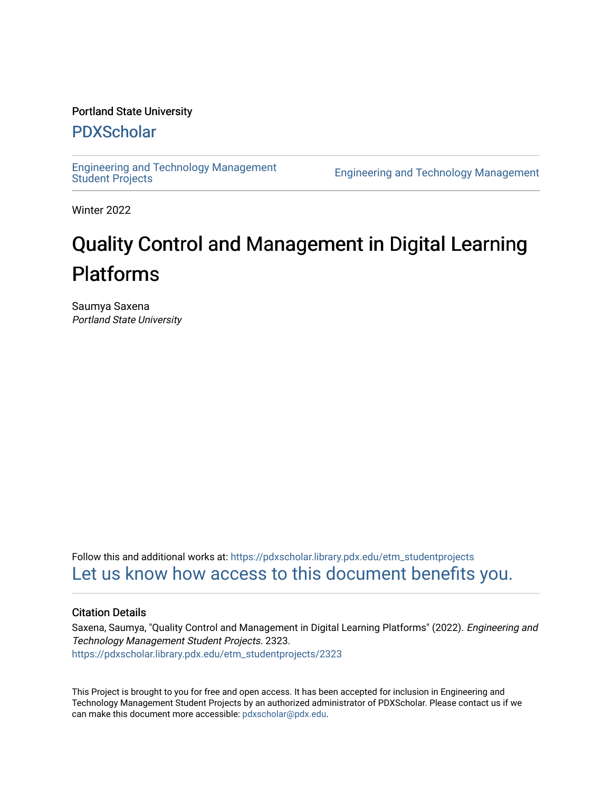#### Portland State University

## [PDXScholar](https://pdxscholar.library.pdx.edu/)

[Engineering and Technology Management](https://pdxscholar.library.pdx.edu/etm_studentprojects) 

**Engineering and Technology Management** 

Winter 2022

# Quality Control and Management in Digital Learning Platforms

Saumya Saxena Portland State University

Follow this and additional works at: [https://pdxscholar.library.pdx.edu/etm\\_studentprojects](https://pdxscholar.library.pdx.edu/etm_studentprojects?utm_source=pdxscholar.library.pdx.edu%2Fetm_studentprojects%2F2323&utm_medium=PDF&utm_campaign=PDFCoverPages)  [Let us know how access to this document benefits you.](http://library.pdx.edu/services/pdxscholar-services/pdxscholar-feedback/?ref=https://pdxscholar.library.pdx.edu/etm_studentprojects/2323) 

#### Citation Details

Saxena, Saumya, "Quality Control and Management in Digital Learning Platforms" (2022). Engineering and Technology Management Student Projects. 2323. [https://pdxscholar.library.pdx.edu/etm\\_studentprojects/2323](https://pdxscholar.library.pdx.edu/etm_studentprojects/2323?utm_source=pdxscholar.library.pdx.edu%2Fetm_studentprojects%2F2323&utm_medium=PDF&utm_campaign=PDFCoverPages)

This Project is brought to you for free and open access. It has been accepted for inclusion in Engineering and Technology Management Student Projects by an authorized administrator of PDXScholar. Please contact us if we can make this document more accessible: [pdxscholar@pdx.edu.](mailto:pdxscholar@pdx.edu)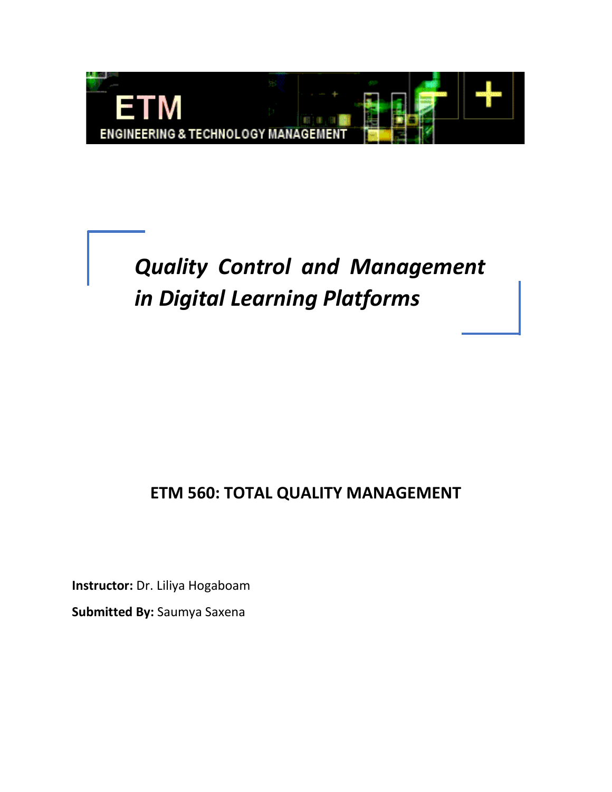

*Quality Control and Management in Digital Learning Platforms*

## **ETM 560: TOTAL QUALITY MANAGEMENT**

**Instructor:** Dr. Liliya Hogaboam

**Submitted By:** Saumya Saxena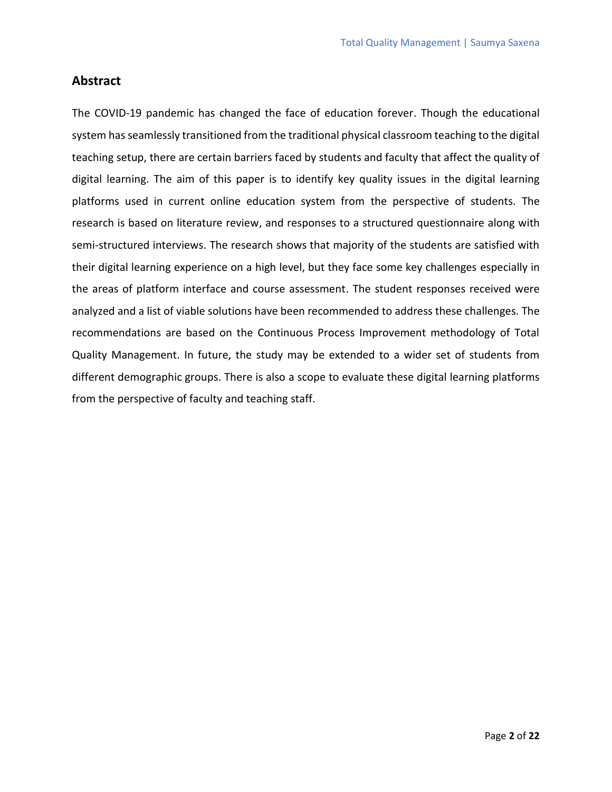### **Abstract**

The COVID-19 pandemic has changed the face of education forever. Though the educational system has seamlessly transitioned from the traditional physical classroom teaching to the digital teaching setup, there are certain barriers faced by students and faculty that affect the quality of digital learning. The aim of this paper is to identify key quality issues in the digital learning platforms used in current online education system from the perspective of students. The research is based on literature review, and responses to a structured questionnaire along with semi-structured interviews. The research shows that majority of the students are satisfied with their digital learning experience on a high level, but they face some key challenges especially in the areas of platform interface and course assessment. The student responses received were analyzed and a list of viable solutions have been recommended to address these challenges. The recommendations are based on the Continuous Process Improvement methodology of Total Quality Management. In future, the study may be extended to a wider set of students from different demographic groups. There is also a scope to evaluate these digital learning platforms from the perspective of faculty and teaching staff.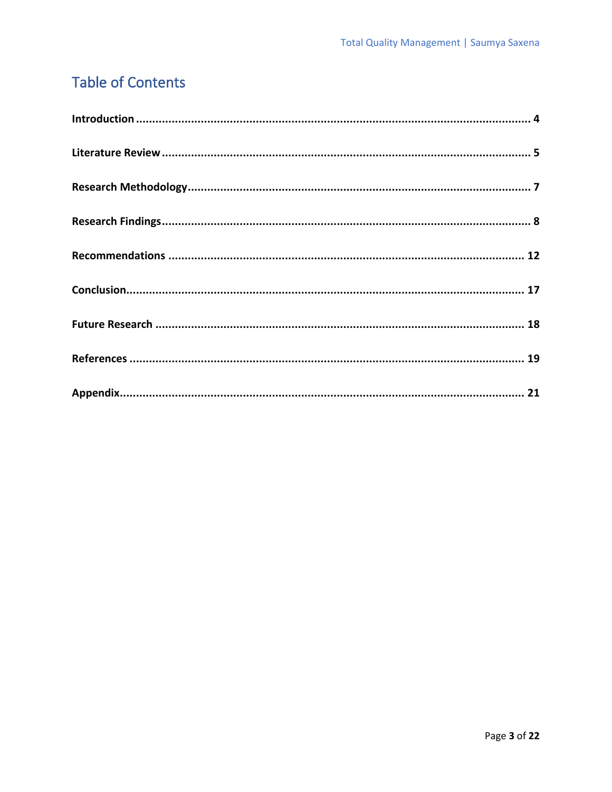## **Table of Contents**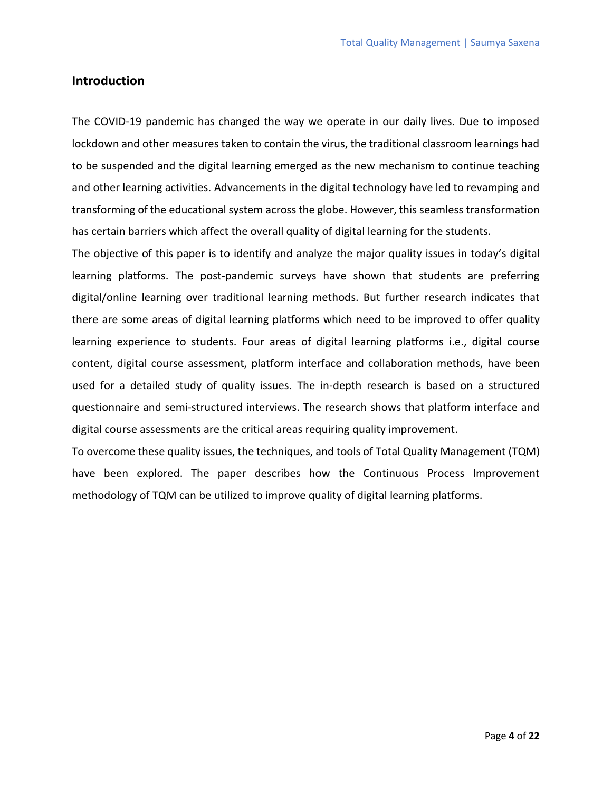#### **Introduction**

The COVID-19 pandemic has changed the way we operate in our daily lives. Due to imposed lockdown and other measures taken to contain the virus, the traditional classroom learnings had to be suspended and the digital learning emerged as the new mechanism to continue teaching and other learning activities. Advancements in the digital technology have led to revamping and transforming of the educational system across the globe. However, this seamless transformation has certain barriers which affect the overall quality of digital learning for the students.

The objective of this paper is to identify and analyze the major quality issues in today's digital learning platforms. The post-pandemic surveys have shown that students are preferring digital/online learning over traditional learning methods. But further research indicates that there are some areas of digital learning platforms which need to be improved to offer quality learning experience to students. Four areas of digital learning platforms i.e., digital course content, digital course assessment, platform interface and collaboration methods, have been used for a detailed study of quality issues. The in-depth research is based on a structured questionnaire and semi-structured interviews. The research shows that platform interface and digital course assessments are the critical areas requiring quality improvement.

To overcome these quality issues, the techniques, and tools of Total Quality Management (TQM) have been explored. The paper describes how the Continuous Process Improvement methodology of TQM can be utilized to improve quality of digital learning platforms.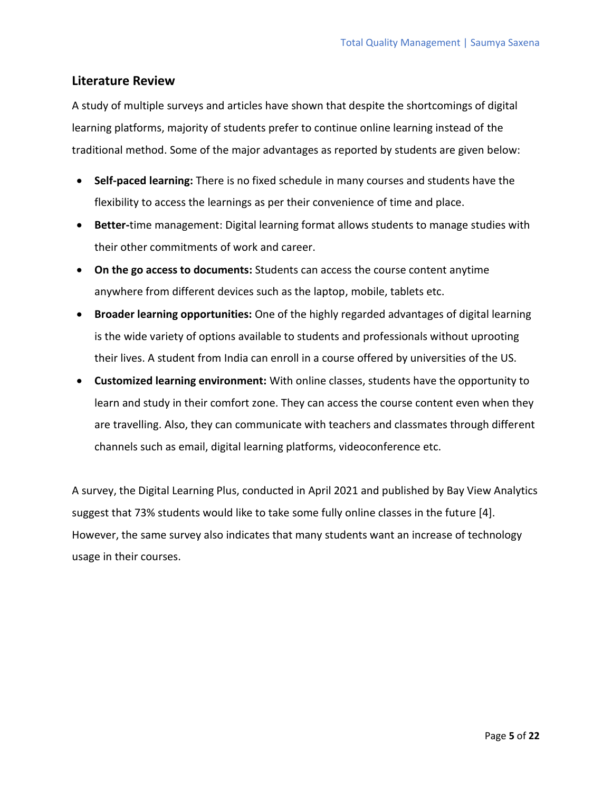### **Literature Review**

A study of multiple surveys and articles have shown that despite the shortcomings of digital learning platforms, majority of students prefer to continue online learning instead of the traditional method. Some of the major advantages as reported by students are given below:

- **Self-paced learning:** There is no fixed schedule in many courses and students have the flexibility to access the learnings as per their convenience of time and place.
- **Better-**time management: Digital learning format allows students to manage studies with their other commitments of work and career.
- **On the go access to documents:** Students can access the course content anytime anywhere from different devices such as the laptop, mobile, tablets etc.
- **Broader learning opportunities:** One of the highly regarded advantages of digital learning is the wide variety of options available to students and professionals without uprooting their lives. A student from India can enroll in a course offered by universities of the US.
- **Customized learning environment:** With online classes, students have the opportunity to learn and study in their comfort zone. They can access the course content even when they are travelling. Also, they can communicate with teachers and classmates through different channels such as email, digital learning platforms, videoconference etc.

A survey, the Digital Learning Plus, conducted in April 2021 and published by Bay View Analytics suggest that 73% students would like to take some fully online classes in the future [4]. However, the same survey also indicates that many students want an increase of technology usage in their courses.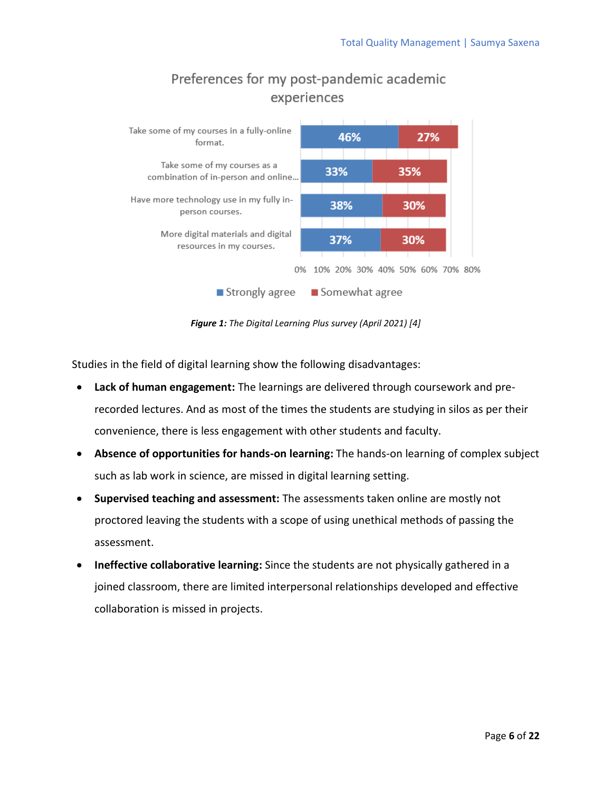

## Preferences for my post-pandemic academic experiences

*Figure 1: The Digital Learning Plus survey (April 2021) [4]*

Studies in the field of digital learning show the following disadvantages:

- **Lack of human engagement:** The learnings are delivered through coursework and prerecorded lectures. And as most of the times the students are studying in silos as per their convenience, there is less engagement with other students and faculty.
- **Absence of opportunities for hands-on learning:** The hands-on learning of complex subject such as lab work in science, are missed in digital learning setting.
- **Supervised teaching and assessment:** The assessments taken online are mostly not proctored leaving the students with a scope of using unethical methods of passing the assessment.
- **Ineffective collaborative learning:** Since the students are not physically gathered in a joined classroom, there are limited interpersonal relationships developed and effective collaboration is missed in projects.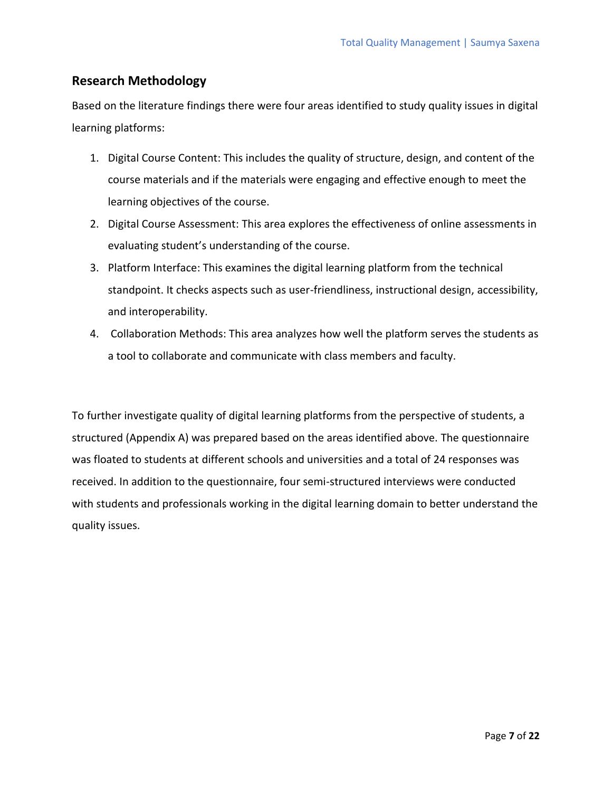### **Research Methodology**

Based on the literature findings there were four areas identified to study quality issues in digital learning platforms:

- 1. Digital Course Content: This includes the quality of structure, design, and content of the course materials and if the materials were engaging and effective enough to meet the learning objectives of the course.
- 2. Digital Course Assessment: This area explores the effectiveness of online assessments in evaluating student's understanding of the course.
- 3. Platform Interface: This examines the digital learning platform from the technical standpoint. It checks aspects such as user-friendliness, instructional design, accessibility, and interoperability.
- 4. Collaboration Methods: This area analyzes how well the platform serves the students as a tool to collaborate and communicate with class members and faculty.

To further investigate quality of digital learning platforms from the perspective of students, a structured (Appendix A) was prepared based on the areas identified above. The questionnaire was floated to students at different schools and universities and a total of 24 responses was received. In addition to the questionnaire, four semi-structured interviews were conducted with students and professionals working in the digital learning domain to better understand the quality issues.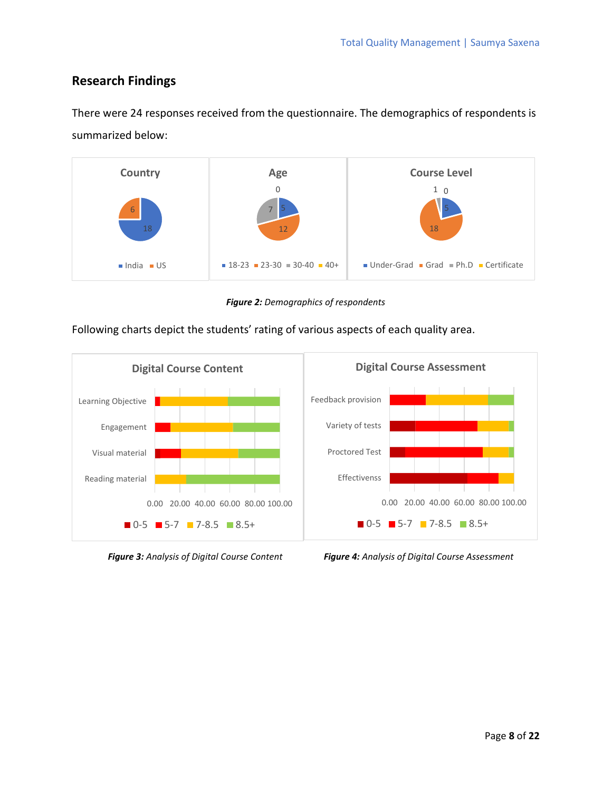## **Research Findings**

There were 24 responses received from the questionnaire. The demographics of respondents is summarized below:



*Figure 2: Demographics of respondents*

Following charts depict the students' rating of various aspects of each quality area.



*Figure 3: Analysis of Digital Course Content Figure 4: Analysis of Digital Course Assessment*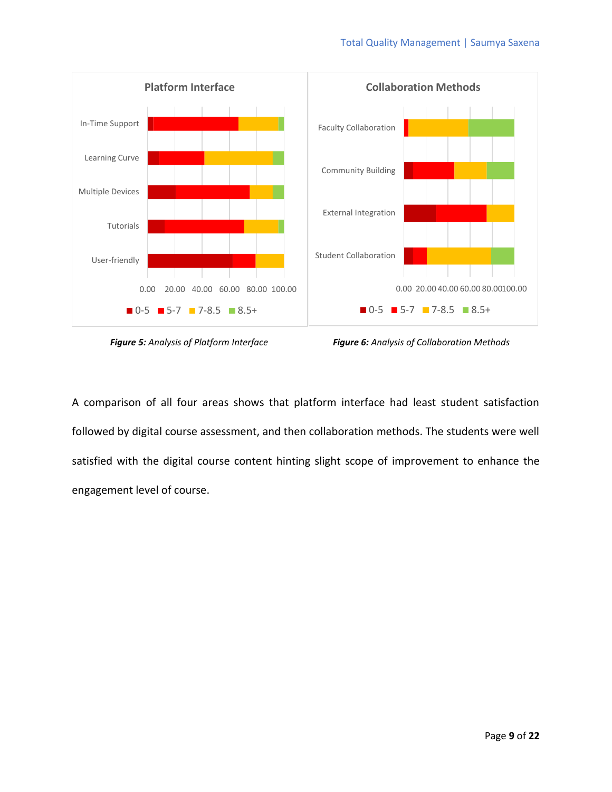

*Figure 5: Analysis of Platform Interface Figure 6: Analysis of Collaboration Methods*

A comparison of all four areas shows that platform interface had least student satisfaction followed by digital course assessment, and then collaboration methods. The students were well satisfied with the digital course content hinting slight scope of improvement to enhance the engagement level of course.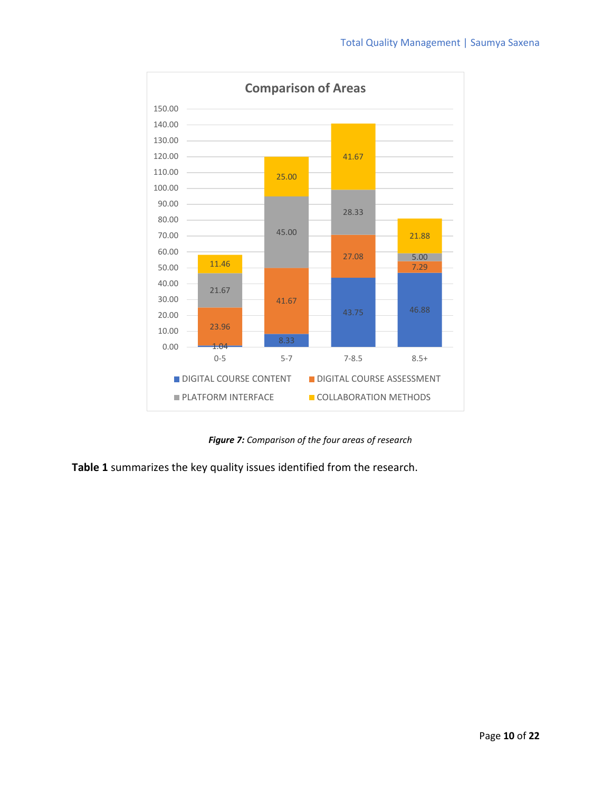

 *Figure 7: Comparison of the four areas of research*

**Table 1** summarizes the key quality issues identified from the research.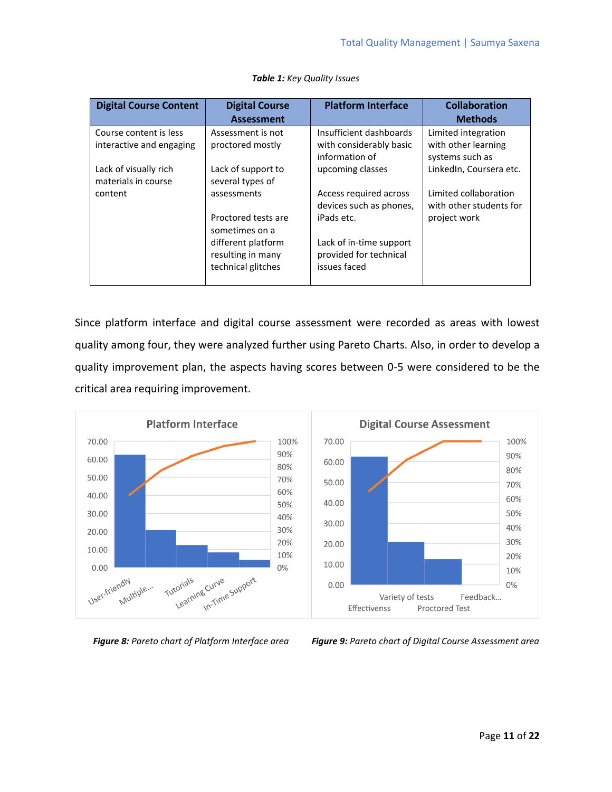| <b>Digital Course Content</b>                      | <b>Digital Course</b><br><b>Assessment</b>                    | <b>Platform Interface</b>                                            | <b>Collaboration</b><br><b>Methods</b>                        |
|----------------------------------------------------|---------------------------------------------------------------|----------------------------------------------------------------------|---------------------------------------------------------------|
| Course content is less<br>interactive and engaging | Assessment is not<br>proctored mostly                         | Insufficient dashboards<br>with considerably basic<br>information of | Limited integration<br>with other learning<br>systems such as |
| Lack of visually rich<br>materials in course       | Lack of support to<br>several types of                        | upcoming classes                                                     | LinkedIn, Coursera etc.                                       |
| content                                            | assessments                                                   | Access required across<br>devices such as phones,                    | Limited collaboration<br>with other students for              |
|                                                    | Proctored tests are<br>sometimes on a                         | iPads etc.                                                           | project work                                                  |
|                                                    | different platform<br>resulting in many<br>technical glitches | Lack of in-time support<br>provided for technical<br>issues faced    |                                                               |

#### *Table 1: Key Quality Issues*

Since platform interface and digital course assessment were recorded as areas with lowest quality among four, they were analyzed further using Pareto Charts. Also, in order to develop a quality improvement plan, the aspects having scores between 0-5 were considered to be the critical area requiring improvement.



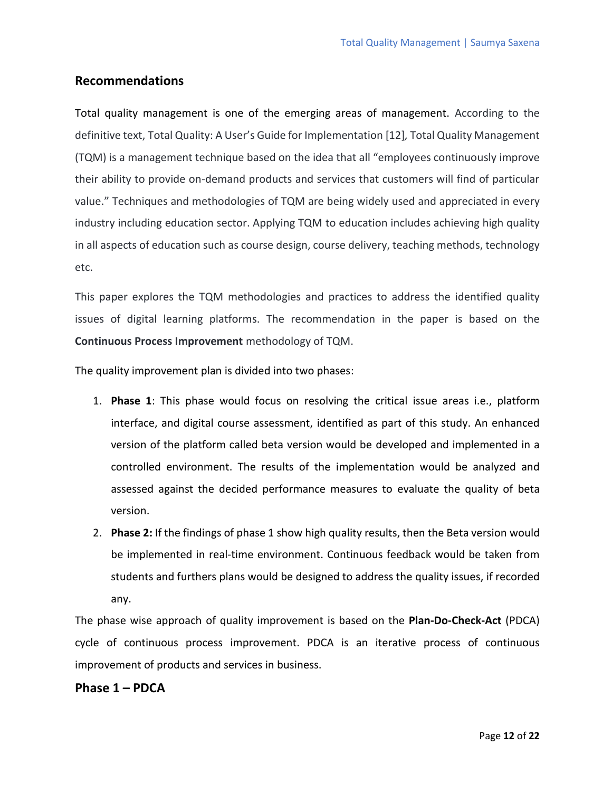### **Recommendations**

Total quality management is one of the emerging areas of management. According to the definitive text, Total Quality: A User's Guide for Implementation [12]*,* Total Quality Management (TQM) is a management technique based on the idea that all "employees continuously improve their ability to provide on-demand products and services that customers will find of particular value." Techniques and methodologies of TQM are being widely used and appreciated in every industry including education sector. Applying TQM to education includes achieving high quality in all aspects of education such as course design, course delivery, teaching methods, technology etc.

This paper explores the TQM methodologies and practices to address the identified quality issues of digital learning platforms. The recommendation in the paper is based on the **Continuous Process Improvement** methodology of TQM.

The quality improvement plan is divided into two phases:

- 1. **Phase 1**: This phase would focus on resolving the critical issue areas i.e., platform interface, and digital course assessment, identified as part of this study. An enhanced version of the platform called beta version would be developed and implemented in a controlled environment. The results of the implementation would be analyzed and assessed against the decided performance measures to evaluate the quality of beta version.
- 2. **Phase 2:** If the findings of phase 1 show high quality results, then the Beta version would be implemented in real-time environment. Continuous feedback would be taken from students and furthers plans would be designed to address the quality issues, if recorded any.

The phase wise approach of quality improvement is based on the **Plan-Do-Check-Act** (PDCA) cycle of continuous process improvement. PDCA is an iterative process of continuous improvement of products and services in business.

#### **Phase 1 – PDCA**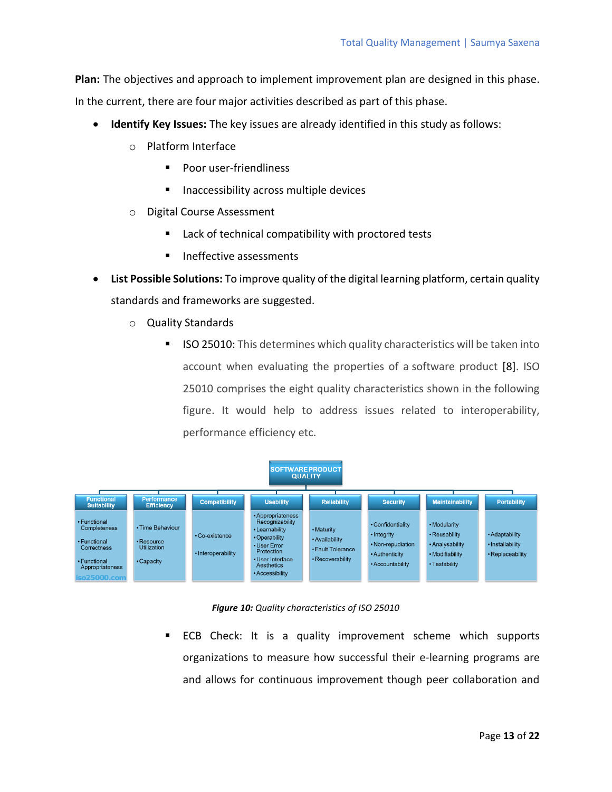**Plan:** The objectives and approach to implement improvement plan are designed in this phase.

In the current, there are four major activities described as part of this phase.

- **Identify Key Issues:** The key issues are already identified in this study as follows:
	- o Platform Interface
		- Poor user-friendliness
		- Inaccessibility across multiple devices
	- o Digital Course Assessment
		- Lack of technical compatibility with proctored tests
		- Ineffective assessments
- **List Possible Solutions:** To improve quality of the digital learning platform, certain quality standards and frameworks are suggested.
	- o Quality Standards
		- ISO 25010: This determines which quality characteristics will be taken into account when evaluating the properties of a [software product](https://12monthsloansbadcredit.com/blog/impact-digitalization-financial-services/) [8]. ISO 25010 comprises the eight quality characteristics shown in the following figure. It would help to address issues related to interoperability, performance efficiency etc.



#### *Figure 10: Quality characteristics of ISO 25010*

■ ECB Check: It is a quality improvement scheme which supports organizations to measure how successful their e-learning programs are and allows for continuous improvement though peer collaboration and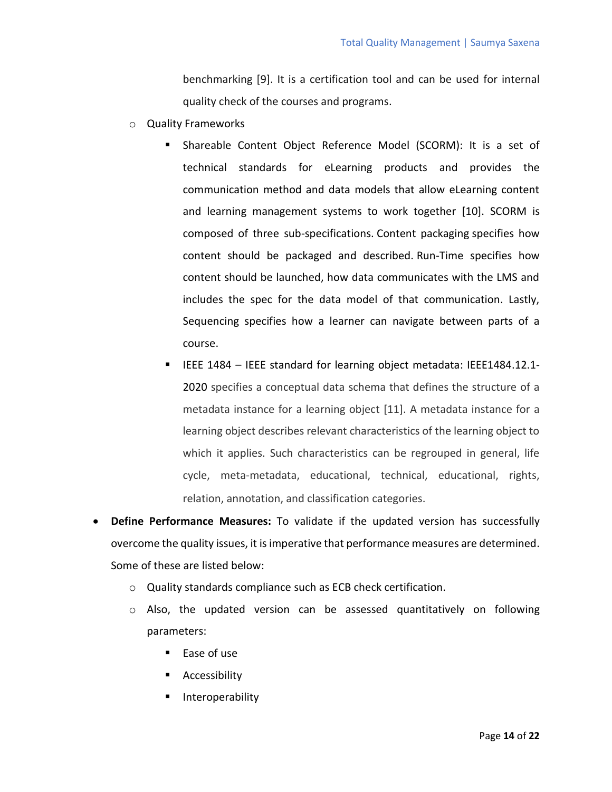benchmarking [9]. It is a certification tool and can be used for internal quality check of the courses and programs.

- o Quality Frameworks
	- Shareable Content Object Reference Model (SCORM): It is a set of technical standards for eLearning products and provides the communication method and data models that allow eLearning content and learning management systems to work together [10]. SCORM is composed of three sub-specifications. Content packaging specifies how content should be packaged and described. Run-Time specifies how content should be launched, how data communicates with the LMS and includes the spec for the data model of that communication. Lastly, Sequencing specifies how a learner can navigate between parts of a course.
	- IEEE 1484 IEEE standard for learning object metadata: IEEE1484.12.1- 2020 specifies a conceptual data schema that defines the structure of a metadata instance for a learning object [11]. A metadata instance for a learning object describes relevant characteristics of the learning object to which it applies. Such characteristics can be regrouped in general, life cycle, meta-metadata, educational, technical, educational, rights, relation, annotation, and classification categories.
- **Define Performance Measures:** To validate if the updated version has successfully overcome the quality issues, it is imperative that performance measures are determined. Some of these are listed below:
	- o Quality standards compliance such as ECB check certification.
	- o Also, the updated version can be assessed quantitatively on following parameters:
		- $\blacksquare$  Ease of use
		- Accessibility
		- Interoperability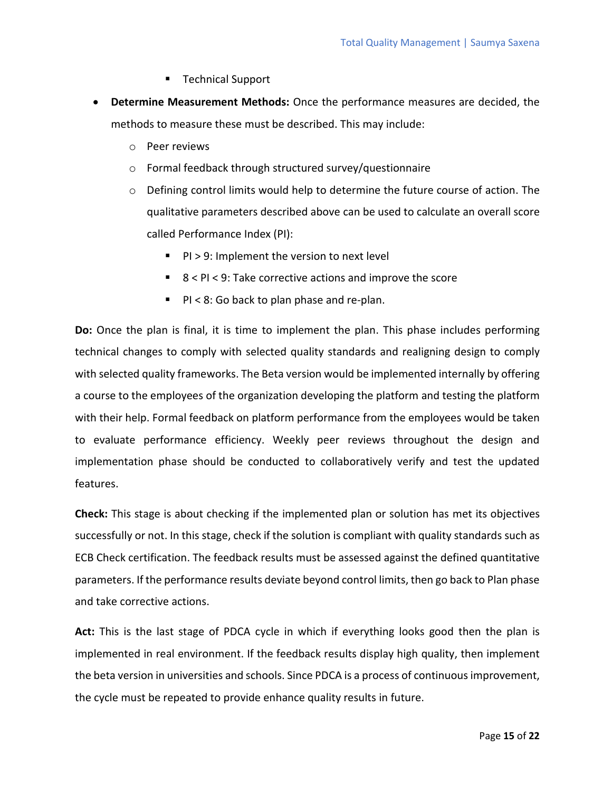- Technical Support
- **Determine Measurement Methods:** Once the performance measures are decided, the methods to measure these must be described. This may include:
	- o Peer reviews
	- o Formal feedback through structured survey/questionnaire
	- o Defining control limits would help to determine the future course of action. The qualitative parameters described above can be used to calculate an overall score called Performance Index (PI):
		- PI > 9: Implement the version to next level
		- 8 < PI < 9: Take corrective actions and improve the score
		- $\blacksquare$  PI < 8: Go back to plan phase and re-plan.

**Do:** Once the plan is final, it is time to implement the plan. This phase includes performing technical changes to comply with selected quality standards and realigning design to comply with selected quality frameworks. The Beta version would be implemented internally by offering a course to the employees of the organization developing the platform and testing the platform with their help. Formal feedback on platform performance from the employees would be taken to evaluate performance efficiency. Weekly peer reviews throughout the design and implementation phase should be conducted to collaboratively verify and test the updated features.

**Check:** This stage is about checking if the implemented plan or solution has met its objectives successfully or not. In this stage, check if the solution is compliant with quality standards such as ECB Check certification. The feedback results must be assessed against the defined quantitative parameters. If the performance results deviate beyond control limits, then go back to Plan phase and take corrective actions.

**Act:** This is the last stage of PDCA cycle in which if everything looks good then the plan is implemented in real environment. If the feedback results display high quality, then implement the beta version in universities and schools. Since PDCA is a process of continuous improvement, the cycle must be repeated to provide enhance quality results in future.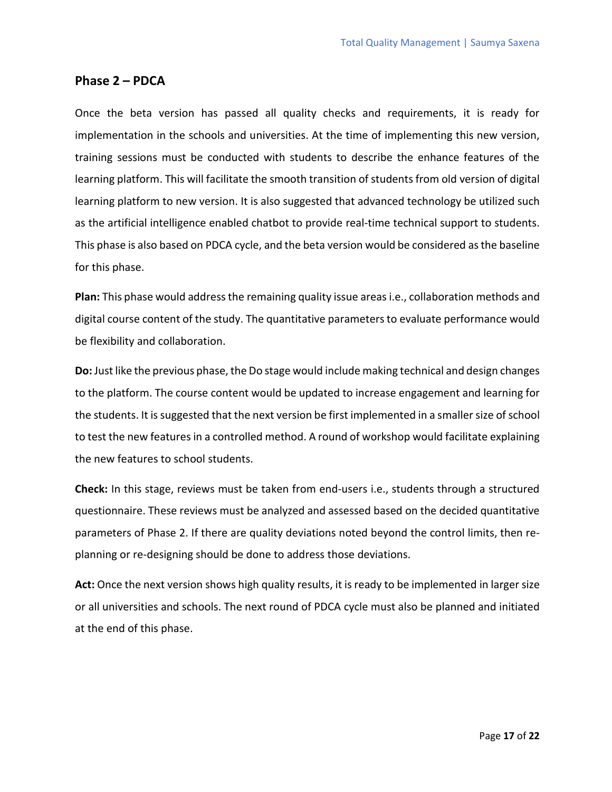#### **Phase 2 – PDCA**

Once the beta version has passed all quality checks and requirements, it is ready for implementation in the schools and universities. At the time of implementing this new version, training sessions must be conducted with students to describe the enhance features of the learning platform. This will facilitate the smooth transition of students from old version of digital learning platform to new version. It is also suggested that advanced technology be utilized such as the artificial intelligence enabled chatbot to provide real-time technical support to students. This phase is also based on PDCA cycle, and the beta version would be considered as the baseline for this phase.

**Plan:** This phase would address the remaining quality issue areas i.e., collaboration methods and digital course content of the study. The quantitative parameters to evaluate performance would be flexibility and collaboration.

**Do:** Just like the previous phase, the Do stage would include making technical and design changes to the platform. The course content would be updated to increase engagement and learning for the students. It is suggested that the next version be first implemented in a smaller size of school to test the new features in a controlled method. A round of workshop would facilitate explaining the new features to school students.

**Check:** In this stage, reviews must be taken from end-users i.e., students through a structured questionnaire. These reviews must be analyzed and assessed based on the decided quantitative parameters of Phase 2. If there are quality deviations noted beyond the control limits, then replanning or re-designing should be done to address those deviations.

**Act:** Once the next version shows high quality results, it is ready to be implemented in larger size or all universities and schools. The next round of PDCA cycle must also be planned and initiated at the end of this phase.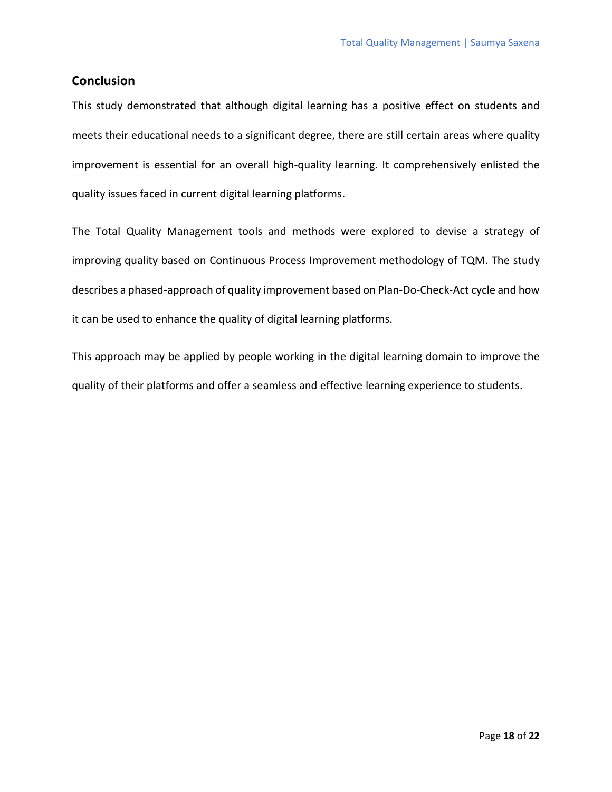#### **Conclusion**

This study demonstrated that although digital learning has a positive effect on students and meets their educational needs to a significant degree, there are still certain areas where quality improvement is essential for an overall high-quality learning. It comprehensively enlisted the quality issues faced in current digital learning platforms.

The Total Quality Management tools and methods were explored to devise a strategy of improving quality based on Continuous Process Improvement methodology of TQM. The study describes a phased-approach of quality improvement based on Plan-Do-Check-Act cycle and how it can be used to enhance the quality of digital learning platforms.

This approach may be applied by people working in the digital learning domain to improve the quality of their platforms and offer a seamless and effective learning experience to students.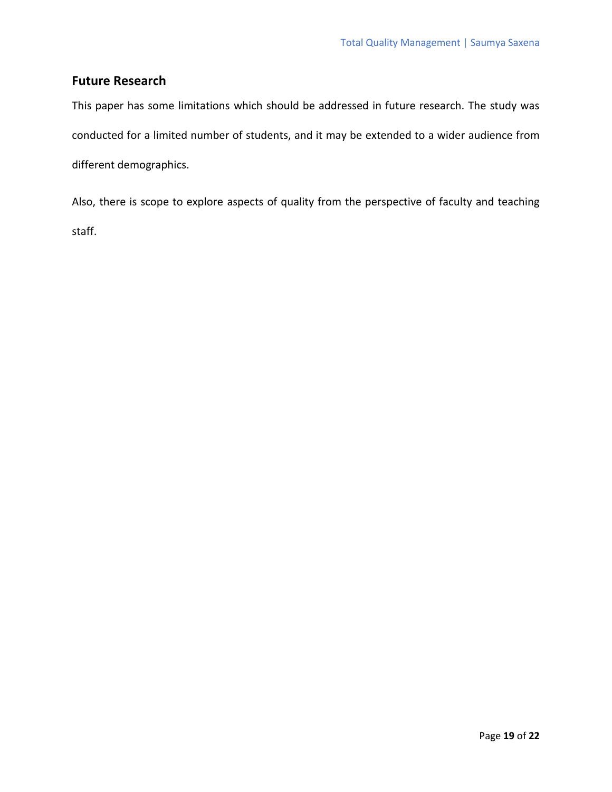## **Future Research**

This paper has some limitations which should be addressed in future research. The study was conducted for a limited number of students, and it may be extended to a wider audience from different demographics.

Also, there is scope to explore aspects of quality from the perspective of faculty and teaching staff.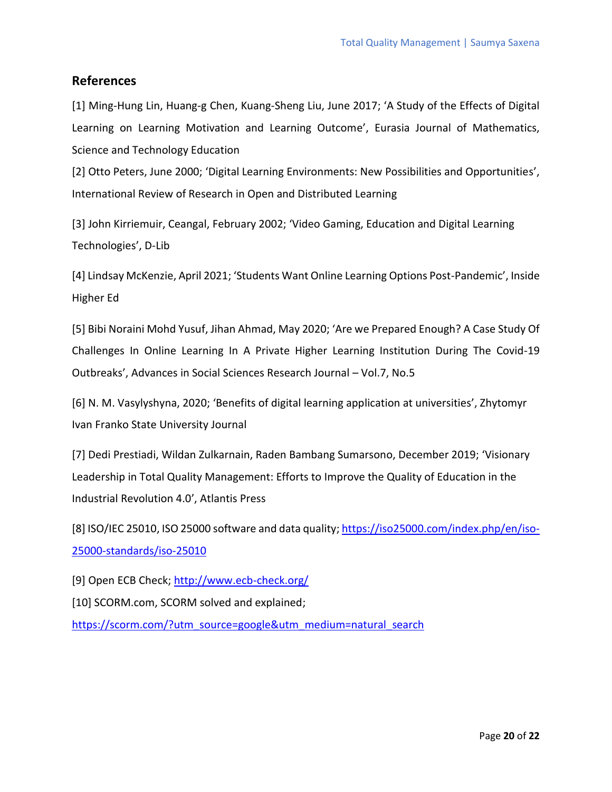#### **References**

[1] Ming-Hung Lin, Huang-g Chen, Kuang-Sheng Liu, June 2017; 'A Study of the Effects of Digital Learning on Learning Motivation and Learning Outcome', Eurasia Journal of Mathematics, Science and Technology Education

[2] Otto Peters, June 2000; 'Digital Learning Environments: New Possibilities and Opportunities', [International Review of Research in Open and Distributed Learning](http://www.erudit.org/en/journals/irrodl/)

[3] John Kirriemuir, Ceangal, February 2002; 'Video Gaming, Education and Digital Learning Technologies', D-Lib

[4] Lindsay McKenzie, April 2021; 'Students Want Online Learning Options Post-Pandemic', Inside Higher Ed

[5] Bibi Noraini Mohd Yusuf, Jihan Ahmad, May 2020; 'Are we Prepared Enough? A Case Study Of Challenges In Online Learning In A Private Higher Learning Institution During The Covid-19 Outbreaks', Advances in Social Sciences Research Journal – Vol.7, No.5

[6] N. M. Vasylyshyna, 2020; 'Benefits of digital learning application at universities', Zhytomyr Ivan Franko State University Journal

[7] Dedi Prestiadi, Wildan Zulkarnain, Raden Bambang Sumarsono, December 2019; 'Visionary Leadership in Total Quality Management: Efforts to Improve the Quality of Education in the Industrial Revolution 4.0', Atlantis Press

[8] ISO/IEC 25010, ISO 25000 software and data quality; [https://iso25000.com/index.php/en/iso-](https://iso25000.com/index.php/en/iso-25000-standards/iso-25010)[25000-standards/iso-25010](https://iso25000.com/index.php/en/iso-25000-standards/iso-25010)

[9] Open ECB Check; <http://www.ecb-check.org/>

[10] SCORM.com, SCORM solved and explained;

[https://scorm.com/?utm\\_source=google&utm\\_medium=natural\\_search](https://scorm.com/?utm_source=google&utm_medium=natural_search)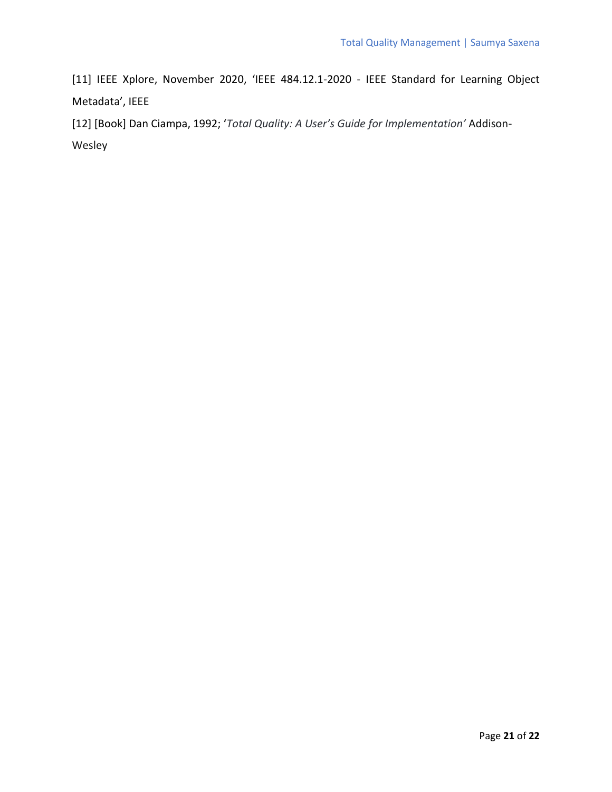[11] IEEE Xplore, November 2020, 'IEEE 484.12.1-2020 - IEEE Standard for Learning Object Metadata', IEEE

[12] [Book] Dan Ciampa, 1992; '*Total Quality: A User's Guide for Implementation'* Addison-Wesley